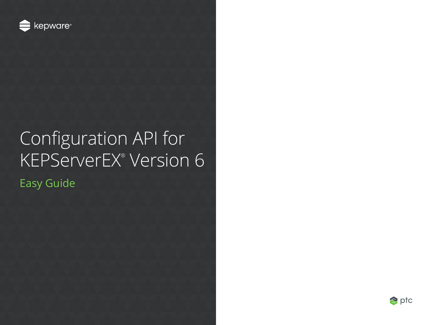

# Configuration API for KEPServerEX® Version 6

Easy Guide

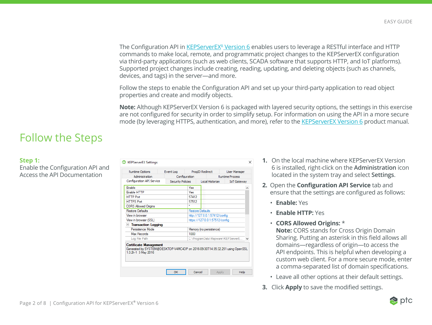The Configuration API in <u>KEPServerEX® Version 6</u> enables users to leverage a RESTful interface and HTTP commands to make local, remote, and programmatic project changes to the KEPServerEX configuration via third-party applications (such as web clients, SCADA software that supports HTTP, and IoT platforms). Supported project changes include creating, reading, updating, and deleting objects (such as channels, devices, and tags) in the server—and more.

Follow the steps to enable the Configuration API and set up your third-party application to read object properties and create and modify objects.

**Note:** Although KEPServerEX Version 6 is packaged with layered security options, the settings in this exercise are not configured for security in order to simplify setup. For information on using the API in a more secure mode (by leveraging HTTPS, authentication, and more), refer to the [KEPServerEX Version 6](https://www.kepware.com/products/kepserverex/documents/kepserverex-manual/) product manual.

## Follow the Steps

#### **Step 1:**

Enable the Configuration API and Access the API Documentation

| <b>Runtime Options</b>                                                                                                               |  | Event Log                |                                | ProgID Redirect |                         | <b>User Manager</b>               |  |
|--------------------------------------------------------------------------------------------------------------------------------------|--|--------------------------|--------------------------------|-----------------|-------------------------|-----------------------------------|--|
| Administration                                                                                                                       |  | Configuration            |                                |                 | <b>Runtime Process</b>  |                                   |  |
| Configuration API Service                                                                                                            |  | <b>Security Policies</b> |                                |                 | Local Historian         | <b>IoT Gateway</b>                |  |
| <b>Fnable</b>                                                                                                                        |  |                          | Yes                            |                 |                         |                                   |  |
| <b>Fnable HTTP</b>                                                                                                                   |  | Yes                      |                                |                 |                         |                                   |  |
| <b>HTTP Port</b>                                                                                                                     |  | 57412                    |                                |                 |                         |                                   |  |
| <b>HTTPS Port</b>                                                                                                                    |  |                          | 57512                          |                 |                         |                                   |  |
| <b>CORS Allowed Origins</b>                                                                                                          |  |                          |                                |                 |                         |                                   |  |
| <b>Restore Defaults</b>                                                                                                              |  |                          | <b>Restore Defaults</b>        |                 |                         |                                   |  |
| View in browser                                                                                                                      |  |                          | http://127.0.0.1:57412/config  |                 |                         |                                   |  |
| View in browser (SSL)                                                                                                                |  |                          | https://127.0.0.1:57512/config |                 |                         |                                   |  |
| $\Box$ Transaction Logging                                                                                                           |  |                          |                                |                 |                         |                                   |  |
| Persistence Mode                                                                                                                     |  |                          |                                |                 | Memory (no persistence) |                                   |  |
| Max Records                                                                                                                          |  | 1000                     |                                |                 |                         |                                   |  |
| Log File Path                                                                                                                        |  |                          |                                |                 |                         | C:\ProgramData\Kepware\KEPServerE |  |
| <b>Certificate Management</b><br>Generated by SYSTEM@DESKTOP-V4MC4DP on 2016-09-30T14:35:32.251 using OpenSSL<br>1.0.2h-1 3 May 2016 |  |                          |                                |                 |                         |                                   |  |

- **1.** On the local machine where KEPServerEX Version 6 is installed, right-click on the **Administration** icon located in the system tray and select **Settings**.
- **2.** Open the **Configuration API Service** tab and ensure that the settings are configured as follows:
	- **Enable:** Yes
	- **Enable HTTP:** Yes
	- **CORS Allowed Origins:** \*

**Note:** CORS stands for Cross Origin Domain Sharing. Putting an asterisk in this field allows all domains—regardless of origin—to access the API endpoints. This is helpful when developing a custom web client. For a more secure mode, enter a comma-separated list of domain specifications.

- Leave all other options at their default settings.
- **3.** Click **Apply** to save the modified settings.

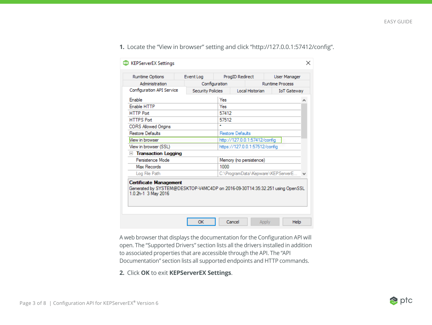| <b>Runtime Process</b><br><b>IoT Gateway</b> |  |  |
|----------------------------------------------|--|--|
|                                              |  |  |
|                                              |  |  |
|                                              |  |  |
|                                              |  |  |
|                                              |  |  |
|                                              |  |  |
|                                              |  |  |
|                                              |  |  |
| http://127.0.0.1:57412/config                |  |  |
| https://127.0.0.1:57512/config               |  |  |
|                                              |  |  |
|                                              |  |  |
|                                              |  |  |
| C:\ProgramData\Kepware\KEPServerE            |  |  |
|                                              |  |  |

#### **1.** Locate the "View in browser" setting and click "http://127.0.0.1:57412/config".

A web browser that displays the documentation for the Configuration API will open. The "Supported Drivers" section lists all the drivers installed in addition to associated properties that are accessible through the API. The "API Documentation" section lists all supported endpoints and HTTP commands.

#### **2.** Click **OK** to exit **KEPServerEX Settings**.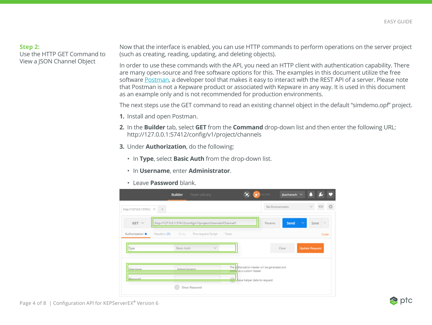#### **Step 2:**

Use the HTTP GET Command to View a JSON Channel Object

Now that the interface is enabled, you can use HTTP commands to perform operations on the server project (such as creating, reading, updating, and deleting objects).

In order to use these commands with the API, you need an HTTP client with authentication capability. There are many open-source and free software options for this. The examples in this document utilize the free software [Postman,](https://www.getpostman.com/) a developer tool that makes it easy to interact with the REST API of a server. Please note that Postman is not a Kepware product or associated with Kepware in any way. It is used in this document as an example only and is not recommended for production environments.

The next steps use the GET command to read an existing channel object in the default "simdemo.opf" project.

- **1.** Install and open Postman.
- **2.** In the **Builder** tab, select **GET** from the **Command** drop-down list and then enter the following URL: http://127.0.0.1:57412/config/v1/project/channels
- **3.** Under **Authorization**, do the following:
	- In **Type**, select **Basic Auth** from the drop-down list.
	- In **Username**, enter **Administrator**.
	- Leave **Password** blank.

|                                           | <b>Builder</b><br>Team Library                             | 欠                        | IN SYNC                                        | jbacharach $\vee$ |                       |
|-------------------------------------------|------------------------------------------------------------|--------------------------|------------------------------------------------|-------------------|-----------------------|
| http://127.0.0.1:57412 X<br>$+$           |                                                            |                          | No Environment                                 |                   | $\checkmark$<br>o     |
| $GET \vee$                                | http://127.0.0.1:57412/config/v1/project/channels/Channel1 |                          | Params                                         | Send<br>v         | Save<br>$\sim$        |
| Authorization <sup>@</sup><br>Headers (1) | Pre-request Script<br>Body                                 | Tests                    |                                                |                   | Code                  |
| Type                                      | $\sim$<br>Basic Auth                                       |                          |                                                | Clear             | <b>Update Request</b> |
| Username                                  | Administrator                                              | added as a custom header | The authorization header will be generated and |                   |                       |
| Password                                  |                                                            |                          | Save helper data to request                    |                   |                       |
|                                           | Show Password                                              |                          |                                                |                   |                       |

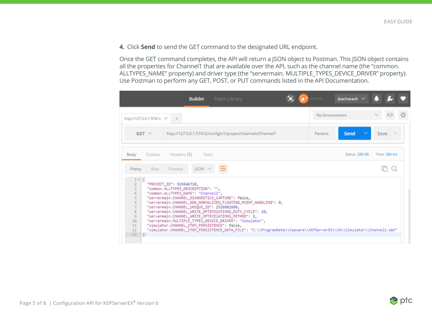**4.** Click **Send** to send the GET command to the designated URL endpoint.

Once the GET command completes, the API will return a JSON object to Postman. This JSON object contains all the properties for Channel1 that are available over the API, such as the channel name (the "common. ALLTYPES\_NAME" property) and driver type (the "servermain. MULTIPLE\_TYPES\_DEVICE\_DRIVER" property). Use Postman to perform any GET, POST, or PUT commands listed in the API Documentation.

|                                                                                             | Team Library<br><b>Builder</b>                                                                                                                                                                                                                                                                                                                                                                                                                                                                                                                                                                                                    | <b>N SYNC</b> | jbacharach V                   |
|---------------------------------------------------------------------------------------------|-----------------------------------------------------------------------------------------------------------------------------------------------------------------------------------------------------------------------------------------------------------------------------------------------------------------------------------------------------------------------------------------------------------------------------------------------------------------------------------------------------------------------------------------------------------------------------------------------------------------------------------|---------------|--------------------------------|
| http://127.0.0.1:57412 X +                                                                  |                                                                                                                                                                                                                                                                                                                                                                                                                                                                                                                                                                                                                                   |               | No Environment                 |
| $GET \vee$                                                                                  | http://127.0.0.1:57412/config/v1/project/channels/Channel1                                                                                                                                                                                                                                                                                                                                                                                                                                                                                                                                                                        | Params        | Save $\vee$<br>Send            |
| Cookies<br>Body                                                                             | Headers (1)<br>Tests                                                                                                                                                                                                                                                                                                                                                                                                                                                                                                                                                                                                              |               | Status: 200 OK<br>Time: 566 ms |
| Raw<br>Pretty                                                                               | JSON V<br><b>Preview</b>                                                                                                                                                                                                                                                                                                                                                                                                                                                                                                                                                                                                          |               |                                |
| $1 - ($<br>3<br>4<br>5<br>6<br>$\overline{z}$<br>8<br>$\mathcal{Q}$<br>10<br>11<br>12<br>13 | "PROJECT_ID": 929646718,<br>"common.ALLTYPES_DESCRIPTION": "",<br>"common.ALLTYPES_NAME": "Channell",<br>"servermain.CHANNEL_DIAGNOSTICS_CAPTURE": false,<br>"servermain.CHANNEL_NON_NORMALIZED_FLOATING_POINT_HANDLING": 0,<br>"servermain.CHANNEL_UNIQUE_ID": 2526082600,<br>"servermain.CHANNEL_WRITE_OPTIMIZATIONS_DUTY_CYCLE": 10,<br>"servermain.CHANNEL_WRITE_OPTIMIZATIONS_METHOD": 2,<br>"servermain.MULTIPLE_TYPES_DEVICE_DRIVER": "Simulator",<br>"simulator.CHANNEL_ITEM_PERSISTENCE": false,<br>"simulator.CHANNEL_ITEM_PERSISTENCE_DATA_FILE": "C:\\ProgramData\\Kepware\\KEPServerEX\\V6\\Simulator\\Channel1.dat" |               |                                |

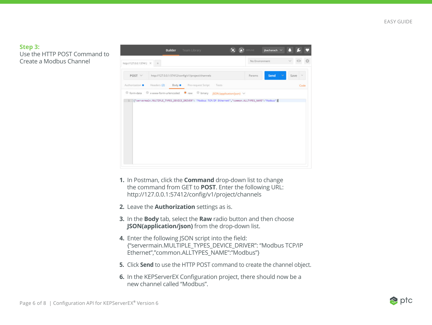#### **Step 3:**

Use the HTTP POST Command to Create a Modbus Channel



- **1.** In Postman, click the **Command** drop-down list to change the command from GET to **POST**. Enter the following URL: http://127.0.0.1:57412/config/v1/project/channels
- **2.** Leave the **Authorization** settings as is.
- **3.** In the **Body** tab, select the **Raw** radio button and then choose **JSON(application/json)** from the drop-down list.
- **4.** Enter the following ISON script into the field: {"servermain.MULTIPLE\_TYPES\_DEVICE\_DRIVER": "Modbus TCP/IP Ethernet","common.ALLTYPES\_NAME":"Modbus"}
- **5.** Click **Send** to use the HTTP POST command to create the channel object.
- **6.** In the KEPServerEX Configuration project, there should now be a new channel called "Modbus".

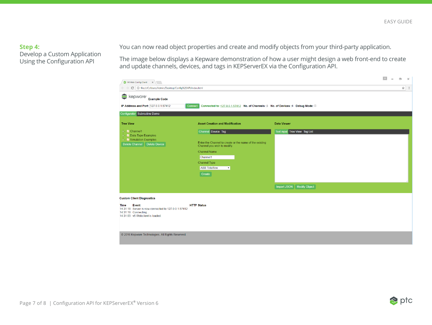#### **Step 4:**

Develop a Custom Application Using the Configuration API

You can now read object properties and create and modify objects from your third-party application.

The image below displays a Kepware demonstration of how a user might design a web front-end to create and update channels, devices, and tags in KEPServerEX via the Configuration API.

| <b>C</b> 3 V6 Web Config Client X                                                                                               |                                                                                                                                                                                                                          |                               | $\langle \Delta \rangle$ | $\Box$<br>$\mathbb{R}$ |  |
|---------------------------------------------------------------------------------------------------------------------------------|--------------------------------------------------------------------------------------------------------------------------------------------------------------------------------------------------------------------------|-------------------------------|--------------------------|------------------------|--|
| C   1 file:///C:/Users/Admin/Desktop/Config%20API/index.html                                                                    |                                                                                                                                                                                                                          |                               |                          | ☆ :                    |  |
| kepware Example Code<br>IP Address and Port: 127.0.0.1:57412                                                                    | Connected to: 127.0.0.1:57412 No. of Channels: 3 No. of Devices: 4 Debug Mode: ■<br>Connect                                                                                                                              |                               |                          |                        |  |
| Configurator Subroutine Demo                                                                                                    |                                                                                                                                                                                                                          |                               |                          |                        |  |
| <b>Tree View</b>                                                                                                                | <b>Asset Creation and Modification</b>                                                                                                                                                                                   | <b>Data Viewer</b>            |                          |                        |  |
| $\leftarrow$ M Channel 1<br>- M Data Type Examples<br>Simulation Examples<br>Delete Channel   Delete Device                     | Channel Device Tag<br>Enter the Channel to create or the name of the existing<br>Channel you wish to modify.<br><b>Channel Name</b><br>Channel1<br><b>Channel Type</b><br><b>ABB</b> Totalflow<br>$\mathbf{v}$<br>Create | Text input Tree View Tag List |                          |                        |  |
|                                                                                                                                 |                                                                                                                                                                                                                          | Import JSON   Modify Object   |                          |                        |  |
| <b>Custom Client Diagnostics</b>                                                                                                |                                                                                                                                                                                                                          |                               |                          |                        |  |
| Event<br>Time<br>14:31:18 Server is now connected to 127.0.0.1:57412<br>14:31:18 Connecting<br>14:31:03 v6 Webclient is loaded. | <b>HTTP Status</b>                                                                                                                                                                                                       |                               |                          |                        |  |
| © 2016 Kepware Technologies. All Rights Reserved.                                                                               |                                                                                                                                                                                                                          |                               |                          |                        |  |